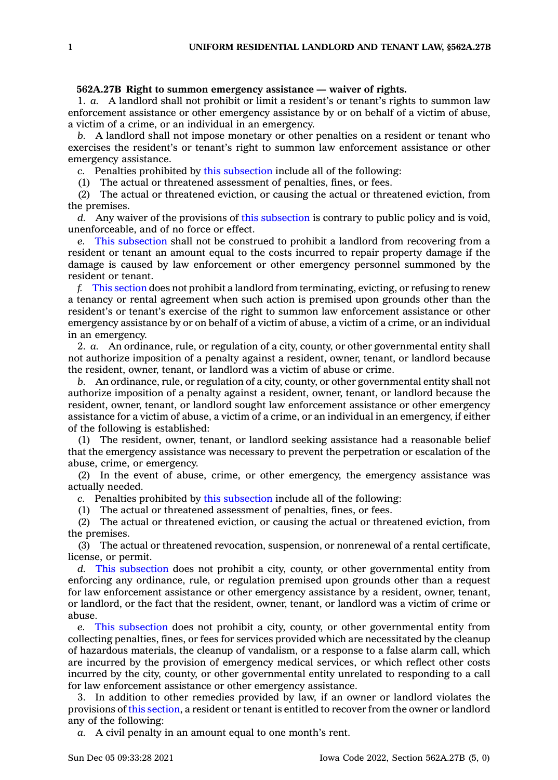## **562A.27B Right to summon emergency assistance — waiver of rights.**

1. *a.* A landlord shall not prohibit or limit <sup>a</sup> resident's or tenant's rights to summon law enforcement assistance or other emergency assistance by or on behalf of <sup>a</sup> victim of abuse, <sup>a</sup> victim of <sup>a</sup> crime, or an individual in an emergency.

*b.* A landlord shall not impose monetary or other penalties on <sup>a</sup> resident or tenant who exercises the resident's or tenant's right to summon law enforcement assistance or other emergency assistance.

*c.* Penalties prohibited by this [subsection](https://www.legis.iowa.gov/docs/code/562A.27B.pdf) include all of the following:

(1) The actual or threatened assessment of penalties, fines, or fees.

(2) The actual or threatened eviction, or causing the actual or threatened eviction, from the premises.

*d.* Any waiver of the provisions of this [subsection](https://www.legis.iowa.gov/docs/code/562A.27B.pdf) is contrary to public policy and is void, unenforceable, and of no force or effect.

*e.* This [subsection](https://www.legis.iowa.gov/docs/code/562A.27B.pdf) shall not be construed to prohibit <sup>a</sup> landlord from recovering from <sup>a</sup> resident or tenant an amount equal to the costs incurred to repair property damage if the damage is caused by law enforcement or other emergency personnel summoned by the resident or tenant.

*f.* This [section](https://www.legis.iowa.gov/docs/code/562A.27B.pdf) does not prohibit <sup>a</sup> landlord from terminating, evicting, or refusing to renew <sup>a</sup> tenancy or rental agreement when such action is premised upon grounds other than the resident's or tenant's exercise of the right to summon law enforcement assistance or other emergency assistance by or on behalf of <sup>a</sup> victim of abuse, <sup>a</sup> victim of <sup>a</sup> crime, or an individual in an emergency.

2. *a.* An ordinance, rule, or regulation of <sup>a</sup> city, county, or other governmental entity shall not authorize imposition of <sup>a</sup> penalty against <sup>a</sup> resident, owner, tenant, or landlord because the resident, owner, tenant, or landlord was <sup>a</sup> victim of abuse or crime.

*b.* An ordinance, rule, or regulation of <sup>a</sup> city, county, or other governmental entity shall not authorize imposition of <sup>a</sup> penalty against <sup>a</sup> resident, owner, tenant, or landlord because the resident, owner, tenant, or landlord sought law enforcement assistance or other emergency assistance for <sup>a</sup> victim of abuse, <sup>a</sup> victim of <sup>a</sup> crime, or an individual in an emergency, if either of the following is established:

(1) The resident, owner, tenant, or landlord seeking assistance had <sup>a</sup> reasonable belief that the emergency assistance was necessary to prevent the perpetration or escalation of the abuse, crime, or emergency.

(2) In the event of abuse, crime, or other emergency, the emergency assistance was actually needed.

*c.* Penalties prohibited by this [subsection](https://www.legis.iowa.gov/docs/code/562A.27B.pdf) include all of the following:

(1) The actual or threatened assessment of penalties, fines, or fees.

(2) The actual or threatened eviction, or causing the actual or threatened eviction, from the premises.

(3) The actual or threatened revocation, suspension, or nonrenewal of <sup>a</sup> rental certificate, license, or permit.

*d.* This [subsection](https://www.legis.iowa.gov/docs/code/562A.27B.pdf) does not prohibit <sup>a</sup> city, county, or other governmental entity from enforcing any ordinance, rule, or regulation premised upon grounds other than <sup>a</sup> request for law enforcement assistance or other emergency assistance by <sup>a</sup> resident, owner, tenant, or landlord, or the fact that the resident, owner, tenant, or landlord was <sup>a</sup> victim of crime or abuse.

*e.* This [subsection](https://www.legis.iowa.gov/docs/code/562A.27B.pdf) does not prohibit <sup>a</sup> city, county, or other governmental entity from collecting penalties, fines, or fees for services provided which are necessitated by the cleanup of hazardous materials, the cleanup of vandalism, or <sup>a</sup> response to <sup>a</sup> false alarm call, which are incurred by the provision of emergency medical services, or which reflect other costs incurred by the city, county, or other governmental entity unrelated to responding to <sup>a</sup> call for law enforcement assistance or other emergency assistance.

3. In addition to other remedies provided by law, if an owner or landlord violates the provisions of this [section](https://www.legis.iowa.gov/docs/code/562A.27B.pdf), <sup>a</sup> resident or tenant is entitled to recover from the owner or landlord any of the following:

*a.* A civil penalty in an amount equal to one month's rent.